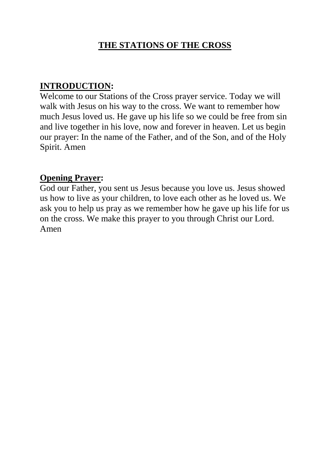#### **THE STATIONS OF THE CROSS**

#### **INTRODUCTION:**

Welcome to our Stations of the Cross prayer service. Today we will walk with Jesus on his way to the cross. We want to remember how much Jesus loved us. He gave up his life so we could be free from sin and live together in his love, now and forever in heaven. Let us begin our prayer: In the name of the Father, and of the Son, and of the Holy Spirit. Amen

#### **Opening Prayer:**

God our Father, you sent us Jesus because you love us. Jesus showed us how to live as your children, to love each other as he loved us. We ask you to help us pray as we remember how he gave up his life for us on the cross. We make this prayer to you through Christ our Lord. Amen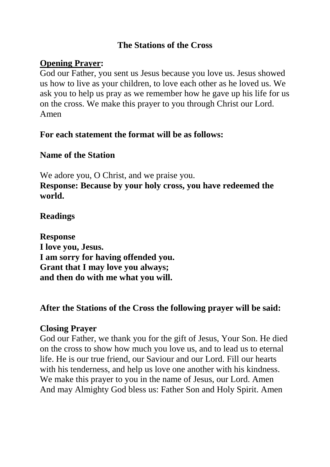#### **The Stations of the Cross**

#### **Opening Prayer:**

God our Father, you sent us Jesus because you love us. Jesus showed us how to live as your children, to love each other as he loved us. We ask you to help us pray as we remember how he gave up his life for us on the cross. We make this prayer to you through Christ our Lord. Amen

#### **For each statement the format will be as follows:**

#### **Name of the Station**

We adore you, O Christ, and we praise you. **Response: Because by your holy cross, you have redeemed the world.**

#### **Readings**

**Response I love you, Jesus. I am sorry for having offended you. Grant that I may love you always; and then do with me what you will.**

#### **After the Stations of the Cross the following prayer will be said:**

#### **Closing Prayer**

God our Father, we thank you for the gift of Jesus, Your Son. He died on the cross to show how much you love us, and to lead us to eternal life. He is our true friend, our Saviour and our Lord. Fill our hearts with his tenderness, and help us love one another with his kindness. We make this prayer to you in the name of Jesus, our Lord. Amen And may Almighty God bless us: Father Son and Holy Spirit. Amen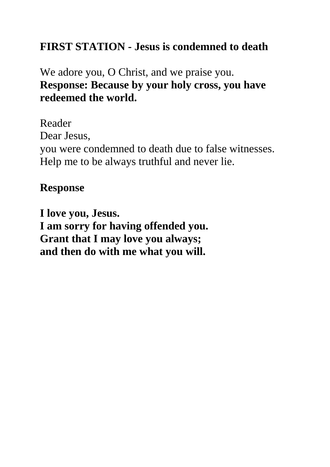# **FIRST STATION - Jesus is condemned to death**

# We adore you, O Christ, and we praise you. **Response: Because by your holy cross, you have redeemed the world.**

Reader Dear Jesus, you were condemned to death due to false witnesses. Help me to be always truthful and never lie.

## **Response**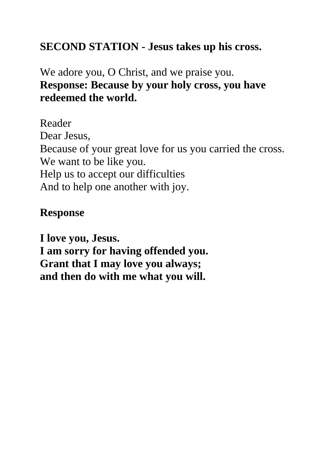## **SECOND STATION - Jesus takes up his cross.**

# We adore you, O Christ, and we praise you. **Response: Because by your holy cross, you have redeemed the world.**

Reader Dear Jesus, Because of your great love for us you carried the cross. We want to be like you. Help us to accept our difficulties And to help one another with joy.

## **Response**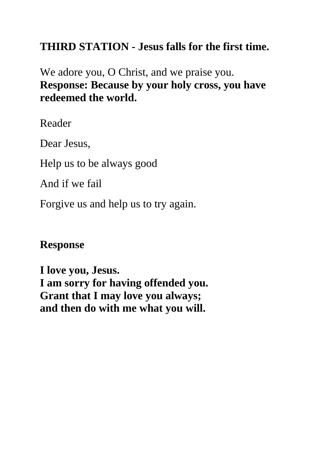# **THIRD STATION - Jesus falls for the first time.**

We adore you, O Christ, and we praise you. **Response: Because by your holy cross, you have redeemed the world.**

Reader

Dear Jesus,

Help us to be always good

And if we fail

Forgive us and help us to try again.

## **Response**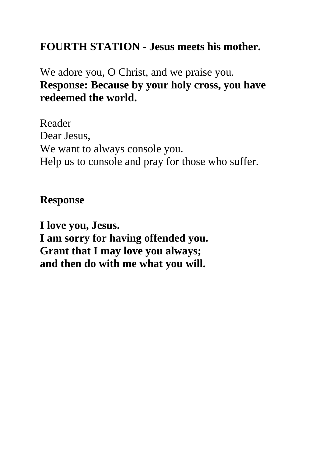# **FOURTH STATION - Jesus meets his mother.**

# We adore you, O Christ, and we praise you. **Response: Because by your holy cross, you have redeemed the world.**

Reader Dear Jesus, We want to always console you. Help us to console and pray for those who suffer.

## **Response**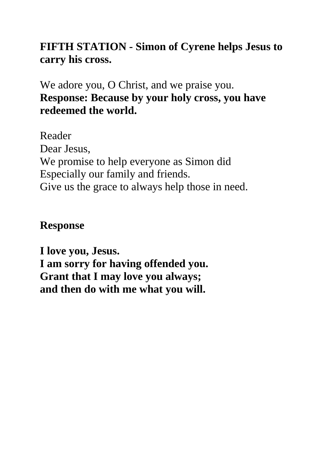# **FIFTH STATION - Simon of Cyrene helps Jesus to carry his cross.**

We adore you, O Christ, and we praise you. **Response: Because by your holy cross, you have redeemed the world.**

Reader Dear Jesus, We promise to help everyone as Simon did Especially our family and friends. Give us the grace to always help those in need.

## **Response**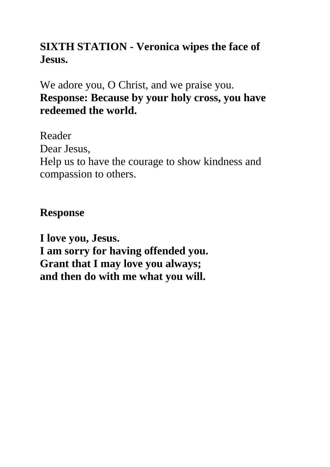# **SIXTH STATION - Veronica wipes the face of Jesus.**

We adore you, O Christ, and we praise you. **Response: Because by your holy cross, you have redeemed the world.**

Reader Dear Jesus, Help us to have the courage to show kindness and compassion to others.

## **Response**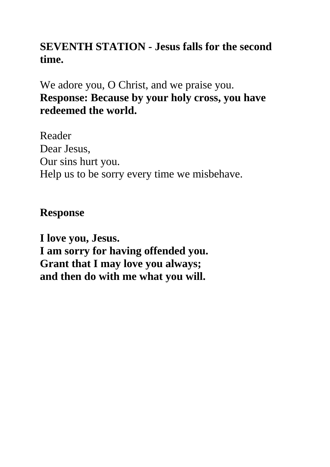## **SEVENTH STATION - Jesus falls for the second time.**

We adore you, O Christ, and we praise you. **Response: Because by your holy cross, you have redeemed the world.**

Reader Dear Jesus, Our sins hurt you. Help us to be sorry every time we misbehave.

## **Response**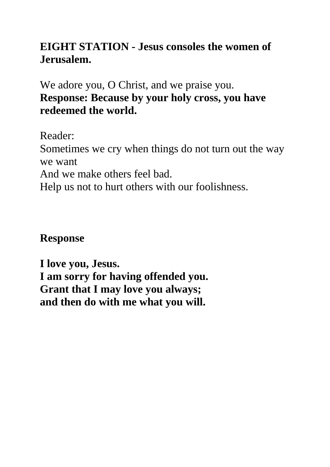# **EIGHT STATION - Jesus consoles the women of Jerusalem.**

We adore you, O Christ, and we praise you. **Response: Because by your holy cross, you have redeemed the world.**

Reader:

Sometimes we cry when things do not turn out the way we want

And we make others feel bad.

Help us not to hurt others with our foolishness.

### **Response**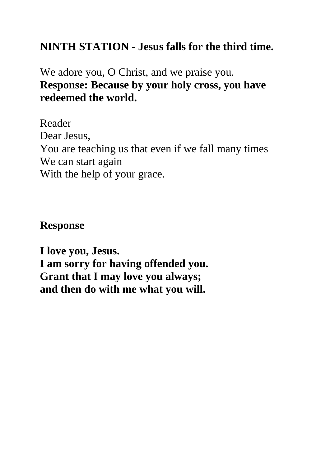## **NINTH STATION - Jesus falls for the third time.**

# We adore you, O Christ, and we praise you. **Response: Because by your holy cross, you have redeemed the world.**

Reader Dear Jesus, You are teaching us that even if we fall many times We can start again With the help of your grace.

### **Response**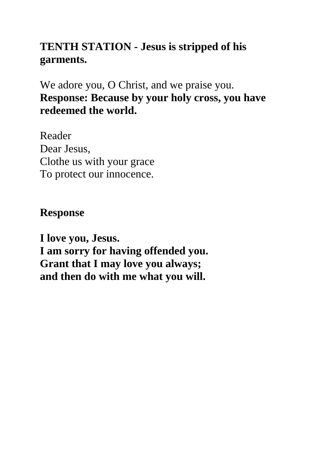# **TENTH STATION - Jesus is stripped of his garments.**

We adore you, O Christ, and we praise you. **Response: Because by your holy cross, you have redeemed the world.**

Reader Dear Jesus, Clothe us with your grace To protect our innocence.

## **Response**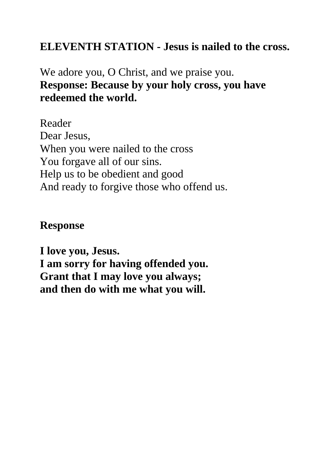## **ELEVENTH STATION - Jesus is nailed to the cross.**

# We adore you, O Christ, and we praise you. **Response: Because by your holy cross, you have redeemed the world.**

Reader Dear Jesus, When you were nailed to the cross You forgave all of our sins. Help us to be obedient and good And ready to forgive those who offend us.

### **Response**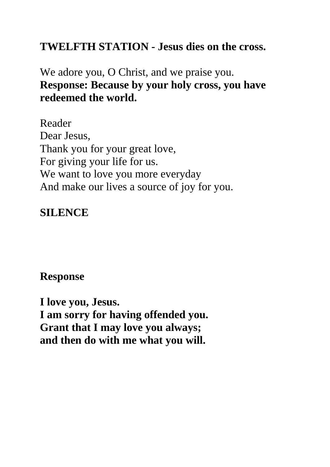## **TWELFTH STATION - Jesus dies on the cross.**

# We adore you, O Christ, and we praise you. **Response: Because by your holy cross, you have redeemed the world.**

Reader Dear Jesus, Thank you for your great love, For giving your life for us. We want to love you more everyday And make our lives a source of joy for you.

### **SILENCE**

### **Response**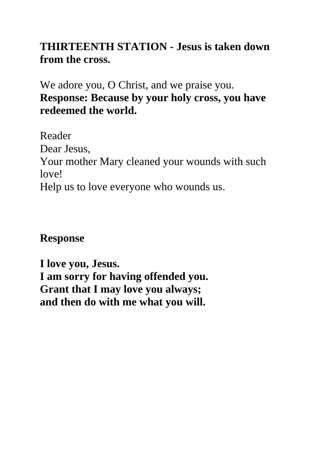# **THIRTEENTH STATION - Jesus is taken down from the cross.**

We adore you, O Christ, and we praise you. **Response: Because by your holy cross, you have redeemed the world.**

Reader Dear Jesus, Your mother Mary cleaned your wounds with such love! Help us to love everyone who wounds us.

### **Response**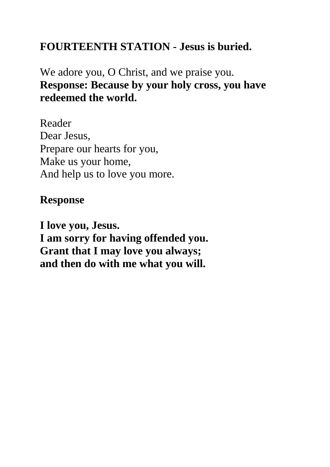# **FOURTEENTH STATION - Jesus is buried.**

# We adore you, O Christ, and we praise you. **Response: Because by your holy cross, you have redeemed the world.**

Reader Dear Jesus, Prepare our hearts for you, Make us your home, And help us to love you more.

### **Response**